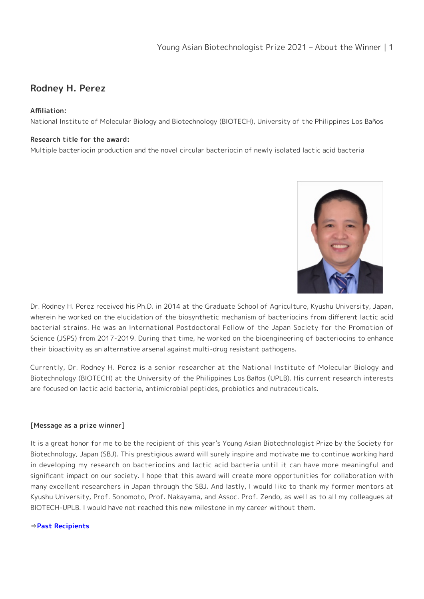# **Rodney H. Perez**

## **Affiliation:**

National Institute of Molecular Biology and Biotechnology (BIOTECH), University of the Philippines Los Baños

### **Research title for the award:**

Multiple bacteriocin production and the novel circular bacteriocin of newly isolated lactic acid bacteria



Dr. Rodney H. Perez received his Ph.D. in 2014 at the Graduate School of Agriculture, Kyushu University, Japan, wherein he worked on the elucidation of the biosynthetic mechanism of bacteriocins from different lactic acid bacterial strains. He was an International Postdoctoral Fellow of the Japan Society for the Promotion of Science (JSPS) from 2017-2019. During that time, he worked on the bioengineering of bacteriocins to enhance their bioactivity as an alternative arsenal against multi-drug resistant pathogens.

Currently, Dr. Rodney H. Perez is a senior researcher at the National Institute of Molecular Biology and Biotechnology (BIOTECH) at the University of the Philippines Los Baños (UPLB). His current research interests are focused on lactic acid bacteria, antimicrobial peptides, probiotics and nutraceuticals.

### **[Message as a prize winner]**

It is a great honor for me to be the recipient of this year's Young Asian Biotechnologist Prize by the Society for Biotechnology, Japan (SBJ). This prestigious award will surely inspire and motivate me to continue working hard in developing my research on bacteriocins and lactic acid bacteria until it can have more meaningful and significant impact on our society. I hope that this award will create more opportunities for collaboration with many excellent researchers in Japan through the SBJ. And lastly, I would like to thank my former mentors at Kyushu University, Prof. Sonomoto, Prof. Nakayama, and Assoc. Prof. Zendo, as well as to all my colleagues at BIOTECH-UPLB. I would have not reached this new milestone in my career without them.

### ⇒**[Past Recipients](https://www.sbj.or.jp/e/about_awards_asian_recipients.html)**